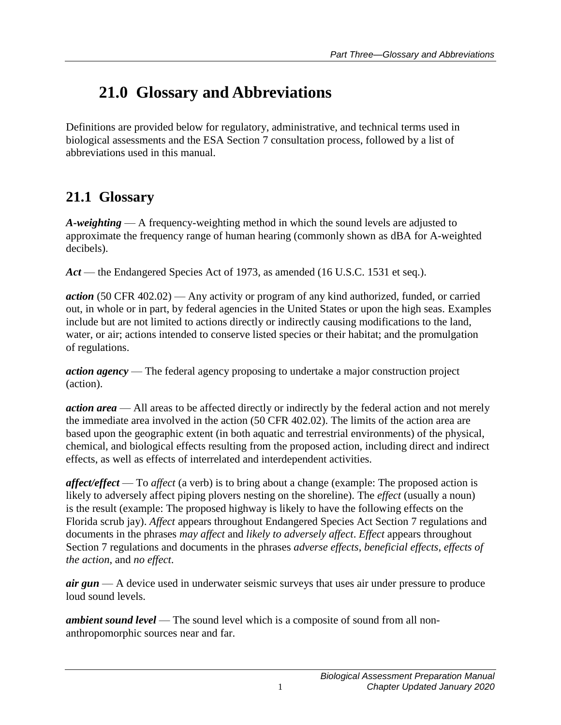# **21.0 Glossary and Abbreviations**

Definitions are provided below for regulatory, administrative, and technical terms used in biological assessments and the ESA Section 7 consultation process, followed by a list of abbreviations used in this manual.

### **21.1 Glossary**

*A-weighting* — A frequency-weighting method in which the sound levels are adjusted to approximate the frequency range of human hearing (commonly shown as dBA for A-weighted decibels).

*Act* — the Endangered Species Act of 1973, as amended (16 U.S.C. 1531 et seq.).

*action* (50 CFR 402.02) — Any activity or program of any kind authorized, funded, or carried out, in whole or in part, by federal agencies in the United States or upon the high seas. Examples include but are not limited to actions directly or indirectly causing modifications to the land, water, or air; actions intended to conserve listed species or their habitat; and the promulgation of regulations.

*action agency* — The federal agency proposing to undertake a major construction project (action).

*action area* — All areas to be affected directly or indirectly by the federal action and not merely the immediate area involved in the action (50 CFR 402.02). The limits of the action area are based upon the geographic extent (in both aquatic and terrestrial environments) of the physical, chemical, and biological effects resulting from the proposed action, including direct and indirect effects, as well as effects of interrelated and interdependent activities.

*affect/effect* — To *affect* (a verb) is to bring about a change (example: The proposed action is likely to adversely affect piping plovers nesting on the shoreline). The *effect* (usually a noun) is the result (example: The proposed highway is likely to have the following effects on the Florida scrub jay). *Affect* appears throughout Endangered Species Act Section 7 regulations and documents in the phrases *may affect* and *likely to adversely affect*. *Effect* appears throughout Section 7 regulations and documents in the phrases *adverse effects*, *beneficial effects*, *effects of the action*, and *no effect*.

*air gun* — A device used in underwater seismic surveys that uses air under pressure to produce loud sound levels.

*ambient sound level* — The sound level which is a composite of sound from all nonanthropomorphic sources near and far.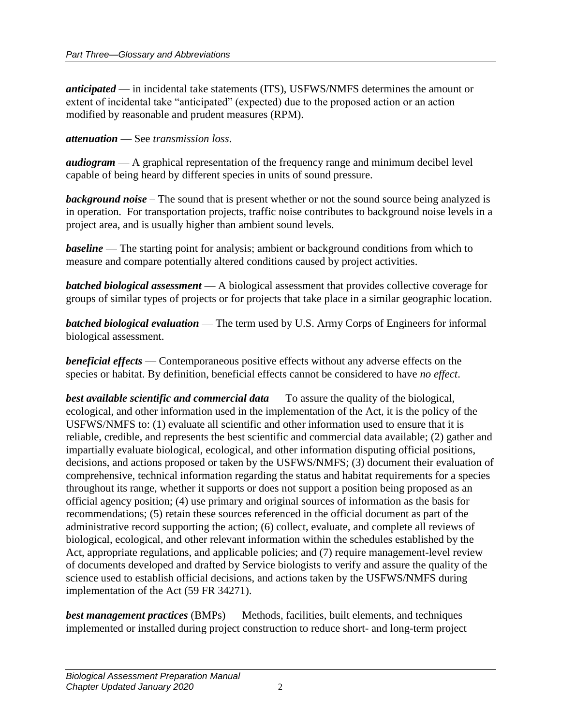*anticipated* — in incidental take statements (ITS), USFWS/NMFS determines the amount or extent of incidental take "anticipated" (expected) due to the proposed action or an action modified by reasonable and prudent measures (RPM).

*attenuation* — See *transmission loss*.

*audiogram* — A graphical representation of the frequency range and minimum decibel level capable of being heard by different species in units of sound pressure.

*background noise* – The sound that is present whether or not the sound source being analyzed is in operation. For transportation projects, traffic noise contributes to background noise levels in a project area, and is usually higher than ambient sound levels.

*baseline* — The starting point for analysis; ambient or background conditions from which to measure and compare potentially altered conditions caused by project activities.

*batched biological assessment* — A biological assessment that provides collective coverage for groups of similar types of projects or for projects that take place in a similar geographic location.

*batched biological evaluation* — The term used by U.S. Army Corps of Engineers for informal biological assessment.

*beneficial effects* — Contemporaneous positive effects without any adverse effects on the species or habitat. By definition, beneficial effects cannot be considered to have *no effect*.

*best available scientific and commercial data* — To assure the quality of the biological, ecological, and other information used in the implementation of the Act, it is the policy of the USFWS/NMFS to: (1) evaluate all scientific and other information used to ensure that it is reliable, credible, and represents the best scientific and commercial data available; (2) gather and impartially evaluate biological, ecological, and other information disputing official positions, decisions, and actions proposed or taken by the USFWS/NMFS; (3) document their evaluation of comprehensive, technical information regarding the status and habitat requirements for a species throughout its range, whether it supports or does not support a position being proposed as an official agency position; (4) use primary and original sources of information as the basis for recommendations; (5) retain these sources referenced in the official document as part of the administrative record supporting the action; (6) collect, evaluate, and complete all reviews of biological, ecological, and other relevant information within the schedules established by the Act, appropriate regulations, and applicable policies; and (7) require management-level review of documents developed and drafted by Service biologists to verify and assure the quality of the science used to establish official decisions, and actions taken by the USFWS/NMFS during implementation of the Act (59 FR 34271).

*best management practices* (BMPs) — Methods, facilities, built elements, and techniques implemented or installed during project construction to reduce short- and long-term project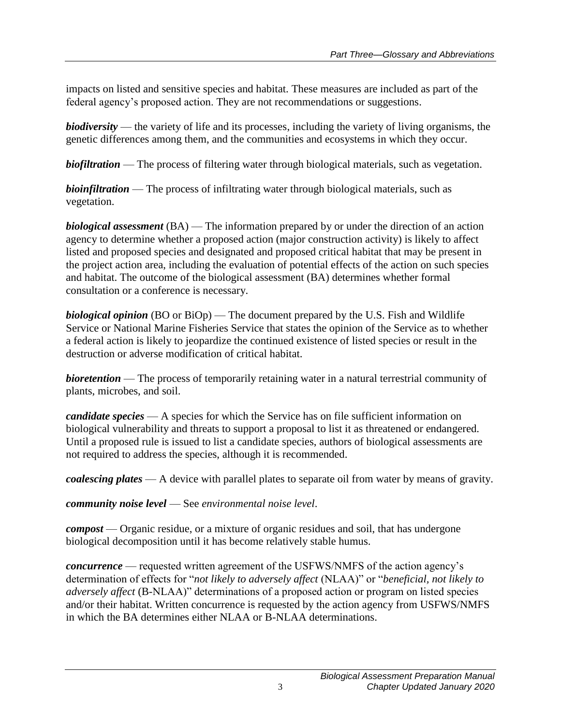impacts on listed and sensitive species and habitat. These measures are included as part of the federal agency's proposed action. They are not recommendations or suggestions.

*biodiversity* — the variety of life and its processes, including the variety of living organisms, the genetic differences among them, and the communities and ecosystems in which they occur.

*biofiltration* — The process of filtering water through biological materials, such as vegetation.

*bioinfiltration* — The process of infiltrating water through biological materials, such as vegetation.

*biological assessment* (BA) — The information prepared by or under the direction of an action agency to determine whether a proposed action (major construction activity) is likely to affect listed and proposed species and designated and proposed critical habitat that may be present in the project action area, including the evaluation of potential effects of the action on such species and habitat. The outcome of the biological assessment (BA) determines whether formal consultation or a conference is necessary.

*biological opinion* (BO or BiOp) — The document prepared by the U.S. Fish and Wildlife Service or National Marine Fisheries Service that states the opinion of the Service as to whether a federal action is likely to jeopardize the continued existence of listed species or result in the destruction or adverse modification of critical habitat.

*bioretention* — The process of temporarily retaining water in a natural terrestrial community of plants, microbes, and soil.

*candidate species* — A species for which the Service has on file sufficient information on biological vulnerability and threats to support a proposal to list it as threatened or endangered. Until a proposed rule is issued to list a candidate species, authors of biological assessments are not required to address the species, although it is recommended.

*coalescing plates* — A device with parallel plates to separate oil from water by means of gravity.

*community noise level* — See *environmental noise level*.

*compost* — Organic residue, or a mixture of organic residues and soil, that has undergone biological decomposition until it has become relatively stable humus.

*concurrence* — requested written agreement of the USFWS/NMFS of the action agency's determination of effects for "*not likely to adversely affect* (NLAA)" or "*beneficial, not likely to adversely affect* (B-NLAA)" determinations of a proposed action or program on listed species and/or their habitat. Written concurrence is requested by the action agency from USFWS/NMFS in which the BA determines either NLAA or B-NLAA determinations.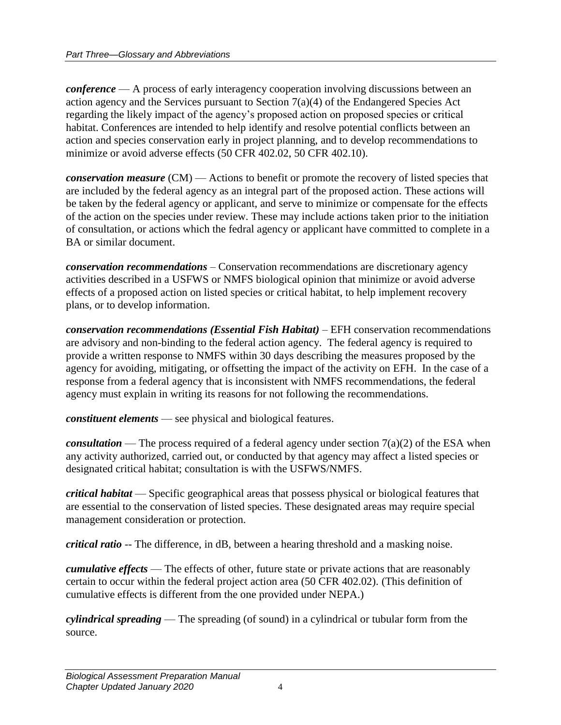*conference* — A process of early interagency cooperation involving discussions between an action agency and the Services pursuant to Section 7(a)(4) of the Endangered Species Act regarding the likely impact of the agency's proposed action on proposed species or critical habitat. Conferences are intended to help identify and resolve potential conflicts between an action and species conservation early in project planning, and to develop recommendations to minimize or avoid adverse effects (50 CFR 402.02, 50 CFR 402.10).

*conservation measure* (CM) — Actions to benefit or promote the recovery of listed species that are included by the federal agency as an integral part of the proposed action. These actions will be taken by the federal agency or applicant, and serve to minimize or compensate for the effects of the action on the species under review. These may include actions taken prior to the initiation of consultation, or actions which the fedral agency or applicant have committed to complete in a BA or similar document.

*conservation recommendations* – Conservation recommendations are discretionary agency activities described in a USFWS or NMFS biological opinion that minimize or avoid adverse effects of a proposed action on listed species or critical habitat, to help implement recovery plans, or to develop information.

*conservation recommendations (Essential Fish Habitat)* – EFH conservation recommendations are advisory and non-binding to the federal action agency. The federal agency is required to provide a written response to NMFS within 30 days describing the measures proposed by the agency for avoiding, mitigating, or offsetting the impact of the activity on EFH. In the case of a response from a federal agency that is inconsistent with NMFS recommendations, the federal agency must explain in writing its reasons for not following the recommendations.

*constituent elements* — see physical and biological features.

*consultation* — The process required of a federal agency under section 7(a)(2) of the ESA when any activity authorized, carried out, or conducted by that agency may affect a listed species or designated critical habitat; consultation is with the USFWS/NMFS.

*critical habitat* — Specific geographical areas that possess physical or biological features that are essential to the conservation of listed species. These designated areas may require special management consideration or protection.

*critical ratio* -- The difference, in dB, between a hearing threshold and a masking noise.

*cumulative effects* — The effects of other, future state or private actions that are reasonably certain to occur within the federal project action area (50 CFR 402.02). (This definition of cumulative effects is different from the one provided under NEPA.)

*cylindrical spreading* — The spreading (of sound) in a cylindrical or tubular form from the source.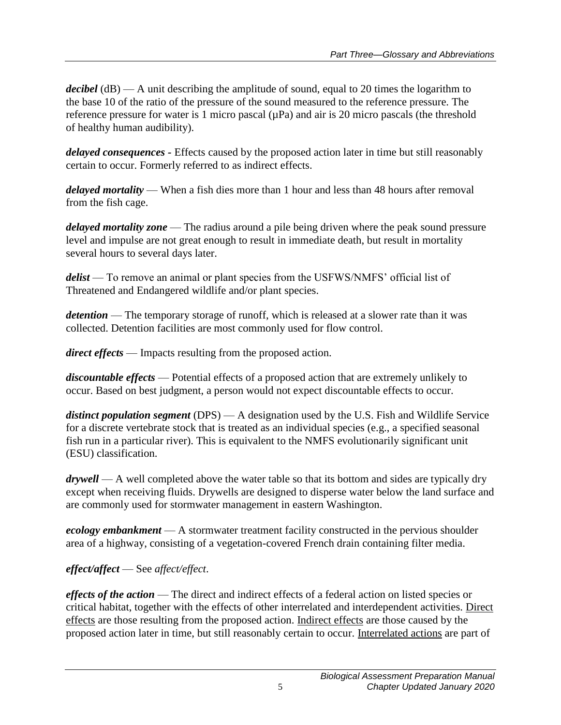*decibel* (dB) — A unit describing the amplitude of sound, equal to 20 times the logarithm to the base 10 of the ratio of the pressure of the sound measured to the reference pressure. The reference pressure for water is 1 micro pascal  $(\mu Pa)$  and air is 20 micro pascals (the threshold of healthy human audibility).

*delayed consequences -* Effects caused by the proposed action later in time but still reasonably certain to occur. Formerly referred to as indirect effects.

*delayed mortality* — When a fish dies more than 1 hour and less than 48 hours after removal from the fish cage.

*delayed mortality zone* — The radius around a pile being driven where the peak sound pressure level and impulse are not great enough to result in immediate death, but result in mortality several hours to several days later.

*delist* — To remove an animal or plant species from the USFWS/NMFS' official list of Threatened and Endangered wildlife and/or plant species.

*detention* — The temporary storage of runoff, which is released at a slower rate than it was collected. Detention facilities are most commonly used for flow control.

*direct effects* — Impacts resulting from the proposed action.

*discountable effects* — Potential effects of a proposed action that are extremely unlikely to occur. Based on best judgment, a person would not expect discountable effects to occur.

*distinct population segment* (DPS) — A designation used by the U.S. Fish and Wildlife Service for a discrete vertebrate stock that is treated as an individual species (e.g., a specified seasonal fish run in a particular river). This is equivalent to the NMFS evolutionarily significant unit (ESU) classification.

*drywell* — A well completed above the water table so that its bottom and sides are typically dry except when receiving fluids. Drywells are designed to disperse water below the land surface and are commonly used for stormwater management in eastern Washington.

*ecology embankment* — A stormwater treatment facility constructed in the pervious shoulder area of a highway, consisting of a vegetation-covered French drain containing filter media.

### *effect/affect* — See *affect/effect*.

*effects of the action* — The direct and indirect effects of a federal action on listed species or critical habitat, together with the effects of other interrelated and interdependent activities. Direct effects are those resulting from the proposed action. Indirect effects are those caused by the proposed action later in time, but still reasonably certain to occur. Interrelated actions are part of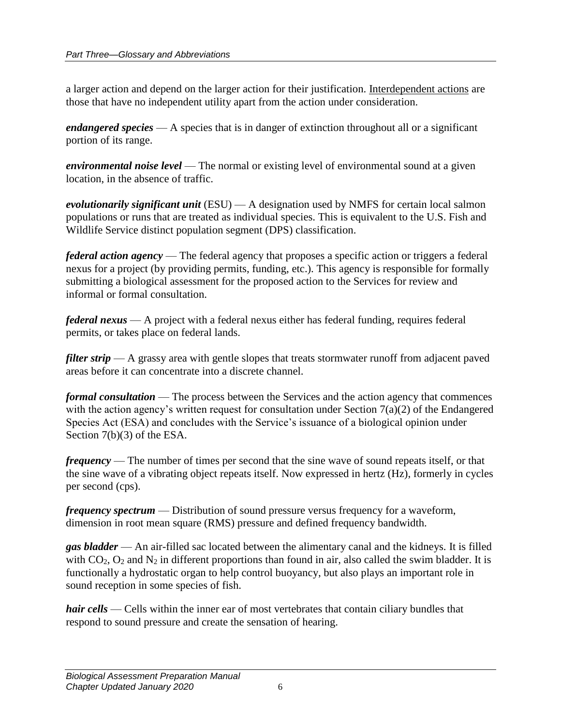a larger action and depend on the larger action for their justification. Interdependent actions are those that have no independent utility apart from the action under consideration.

*endangered species* — A species that is in danger of extinction throughout all or a significant portion of its range.

*environmental noise level* — The normal or existing level of environmental sound at a given location, in the absence of traffic.

*evolutionarily significant unit* (ESU) — A designation used by NMFS for certain local salmon populations or runs that are treated as individual species. This is equivalent to the U.S. Fish and Wildlife Service distinct population segment (DPS) classification.

*federal action agency* — The federal agency that proposes a specific action or triggers a federal nexus for a project (by providing permits, funding, etc.). This agency is responsible for formally submitting a biological assessment for the proposed action to the Services for review and informal or formal consultation.

*federal nexus* — A project with a federal nexus either has federal funding, requires federal permits, or takes place on federal lands.

*filter strip* — A grassy area with gentle slopes that treats stormwater runoff from adjacent paved areas before it can concentrate into a discrete channel.

*formal consultation* — The process between the Services and the action agency that commences with the action agency's written request for consultation under Section  $7(a)(2)$  of the Endangered Species Act (ESA) and concludes with the Service's issuance of a biological opinion under Section 7(b)(3) of the ESA.

*frequency* — The number of times per second that the sine wave of sound repeats itself, or that the sine wave of a vibrating object repeats itself. Now expressed in hertz (Hz), formerly in cycles per second (cps).

*frequency spectrum* — Distribution of sound pressure versus frequency for a waveform, dimension in root mean square (RMS) pressure and defined frequency bandwidth.

*gas bladder* — An air-filled sac located between the alimentary canal and the kidneys. It is filled with  $CO_2$ ,  $O_2$  and  $N_2$  in different proportions than found in air, also called the swim bladder. It is functionally a hydrostatic organ to help control buoyancy, but also plays an important role in sound reception in some species of fish.

*hair cells* — Cells within the inner ear of most vertebrates that contain ciliary bundles that respond to sound pressure and create the sensation of hearing.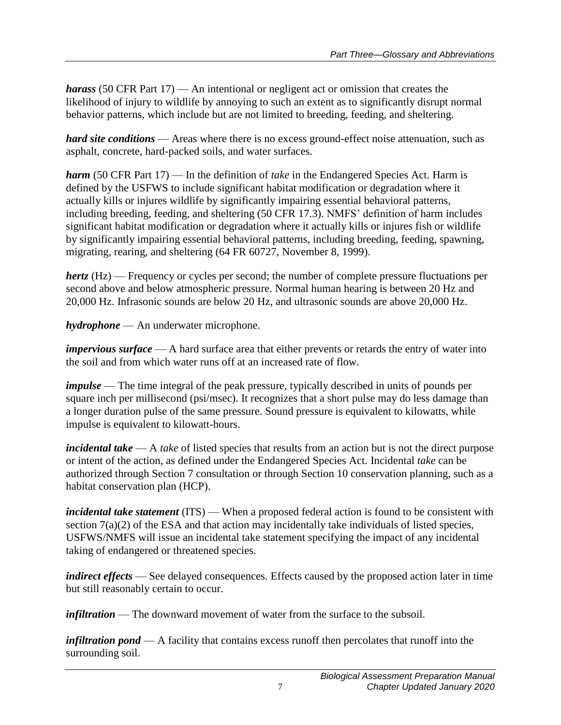*harass* (50 CFR Part 17) — An intentional or negligent act or omission that creates the likelihood of injury to wildlife by annoying to such an extent as to significantly disrupt normal behavior patterns, which include but are not limited to breeding, feeding, and sheltering.

*hard site conditions* — Areas where there is no excess ground-effect noise attenuation, such as asphalt, concrete, hard-packed soils, and water surfaces.

*harm* (50 CFR Part 17) — In the definition of *take* in the Endangered Species Act. Harm is defined by the USFWS to include significant habitat modification or degradation where it actually kills or injures wildlife by significantly impairing essential behavioral patterns, including breeding, feeding, and sheltering (50 CFR 17.3). NMFS' definition of harm includes significant habitat modification or degradation where it actually kills or injures fish or wildlife by significantly impairing essential behavioral patterns, including breeding, feeding, spawning, migrating, rearing, and sheltering (64 FR 60727, November 8, 1999).

*hertz* (Hz) — Frequency or cycles per second; the number of complete pressure fluctuations per second above and below atmospheric pressure. Normal human hearing is between 20 Hz and 20,000 Hz. Infrasonic sounds are below 20 Hz, and ultrasonic sounds are above 20,000 Hz.

*hydrophone* — An underwater microphone.

*impervious surface* — A hard surface area that either prevents or retards the entry of water into the soil and from which water runs off at an increased rate of flow.

*impulse* — The time integral of the peak pressure, typically described in units of pounds per square inch per millisecond (psi/msec). It recognizes that a short pulse may do less damage than a longer duration pulse of the same pressure. Sound pressure is equivalent to kilowatts, while impulse is equivalent to kilowatt-hours.

*incidental take* — A *take* of listed species that results from an action but is not the direct purpose or intent of the action, as defined under the Endangered Species Act. Incidental *take* can be authorized through Section 7 consultation or through Section 10 conservation planning, such as a habitat conservation plan (HCP).

*incidental take statement* (ITS) — When a proposed federal action is found to be consistent with section 7(a)(2) of the ESA and that action may incidentally take individuals of listed species, USFWS/NMFS will issue an incidental take statement specifying the impact of any incidental taking of endangered or threatened species.

*indirect effects* — See delayed consequences. Effects caused by the proposed action later in time but still reasonably certain to occur.

*infiltration* — The downward movement of water from the surface to the subsoil.

*infiltration pond* — A facility that contains excess runoff then percolates that runoff into the surrounding soil.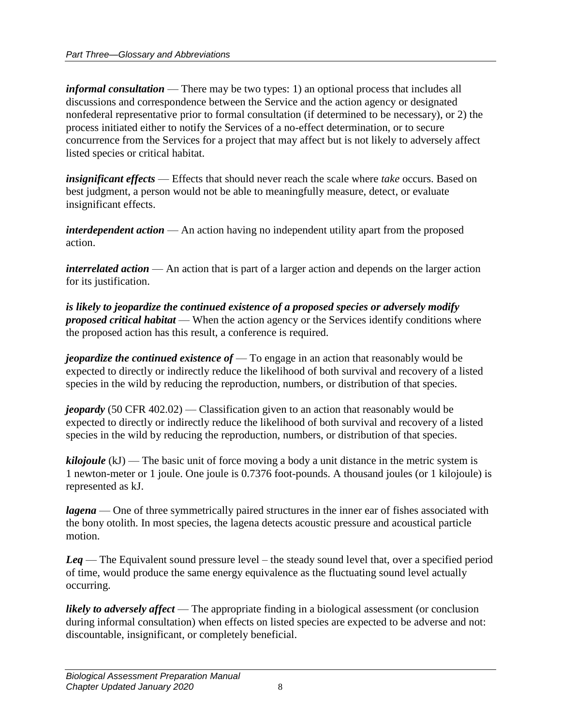*informal consultation* — There may be two types: 1) an optional process that includes all discussions and correspondence between the Service and the action agency or designated nonfederal representative prior to formal consultation (if determined to be necessary), or 2) the process initiated either to notify the Services of a no-effect determination, or to secure concurrence from the Services for a project that may affect but is not likely to adversely affect listed species or critical habitat.

*insignificant effects* — Effects that should never reach the scale where *take* occurs. Based on best judgment, a person would not be able to meaningfully measure, detect, or evaluate insignificant effects.

*interdependent action* — An action having no independent utility apart from the proposed action.

*interrelated action* — An action that is part of a larger action and depends on the larger action for its justification.

*is likely to jeopardize the continued existence of a proposed species or adversely modify proposed critical habitat* — When the action agency or the Services identify conditions where the proposed action has this result, a conference is required.

*jeopardize the continued existence of* — To engage in an action that reasonably would be expected to directly or indirectly reduce the likelihood of both survival and recovery of a listed species in the wild by reducing the reproduction, numbers, or distribution of that species.

*jeopardy* (50 CFR 402.02) — Classification given to an action that reasonably would be expected to directly or indirectly reduce the likelihood of both survival and recovery of a listed species in the wild by reducing the reproduction, numbers, or distribution of that species.

*kilojoule* (kJ) — The basic unit of force moving a body a unit distance in the metric system is 1 newton-meter or 1 joule. One joule is 0.7376 foot-pounds. A thousand joules (or 1 kilojoule) is represented as kJ.

*lagena* — One of three symmetrically paired structures in the inner ear of fishes associated with the bony otolith. In most species, the lagena detects acoustic pressure and acoustical particle motion.

*Leq* — The Equivalent sound pressure level – the steady sound level that, over a specified period of time, would produce the same energy equivalence as the fluctuating sound level actually occurring.

*likely to adversely affect* — The appropriate finding in a biological assessment (or conclusion during informal consultation) when effects on listed species are expected to be adverse and not: discountable, insignificant, or completely beneficial.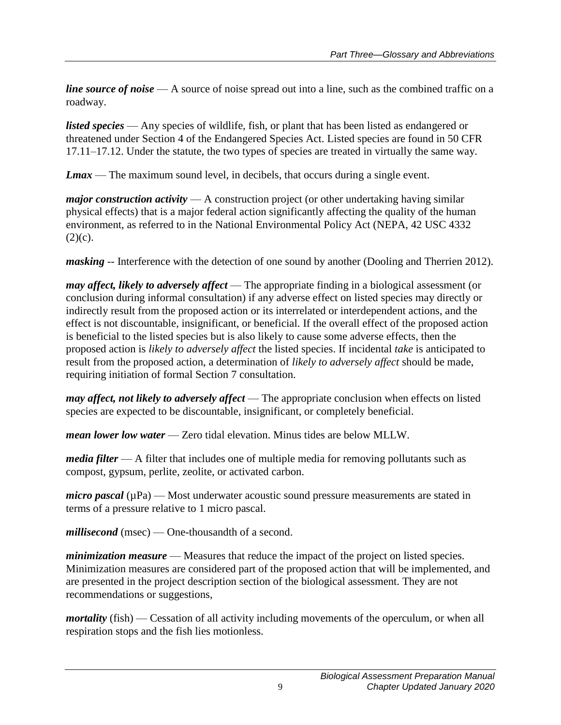*line source of noise* — A source of noise spread out into a line, such as the combined traffic on a roadway.

*listed species* — Any species of wildlife, fish, or plant that has been listed as endangered or threatened under Section 4 of the Endangered Species Act. Listed species are found in 50 CFR 17.11–17.12. Under the statute, the two types of species are treated in virtually the same way.

*Lmax* — The maximum sound level, in decibels, that occurs during a single event.

*major construction activity* — A construction project (or other undertaking having similar physical effects) that is a major federal action significantly affecting the quality of the human environment, as referred to in the National Environmental Policy Act (NEPA, 42 USC 4332  $(2)(c)$ .

*masking* -- Interference with the detection of one sound by another (Dooling and Therrien 2012).

*may affect, likely to adversely affect* — The appropriate finding in a biological assessment (or conclusion during informal consultation) if any adverse effect on listed species may directly or indirectly result from the proposed action or its interrelated or interdependent actions, and the effect is not discountable, insignificant, or beneficial. If the overall effect of the proposed action is beneficial to the listed species but is also likely to cause some adverse effects, then the proposed action is *likely to adversely affect* the listed species. If incidental *take* is anticipated to result from the proposed action, a determination of *likely to adversely affect* should be made, requiring initiation of formal Section 7 consultation.

*may affect, not likely to adversely affect* — The appropriate conclusion when effects on listed species are expected to be discountable, insignificant, or completely beneficial.

*mean lower low water* — Zero tidal elevation. Minus tides are below MLLW.

*media filter* — A filter that includes one of multiple media for removing pollutants such as compost, gypsum, perlite, zeolite, or activated carbon.

*micro pascal* ( $\mu$ Pa) — Most underwater acoustic sound pressure measurements are stated in terms of a pressure relative to 1 micro pascal.

*millisecond* (msec) — One-thousandth of a second.

*minimization measure* — Measures that reduce the impact of the project on listed species. Minimization measures are considered part of the proposed action that will be implemented, and are presented in the project description section of the biological assessment. They are not recommendations or suggestions,

*mortality* (fish) — Cessation of all activity including movements of the operculum, or when all respiration stops and the fish lies motionless.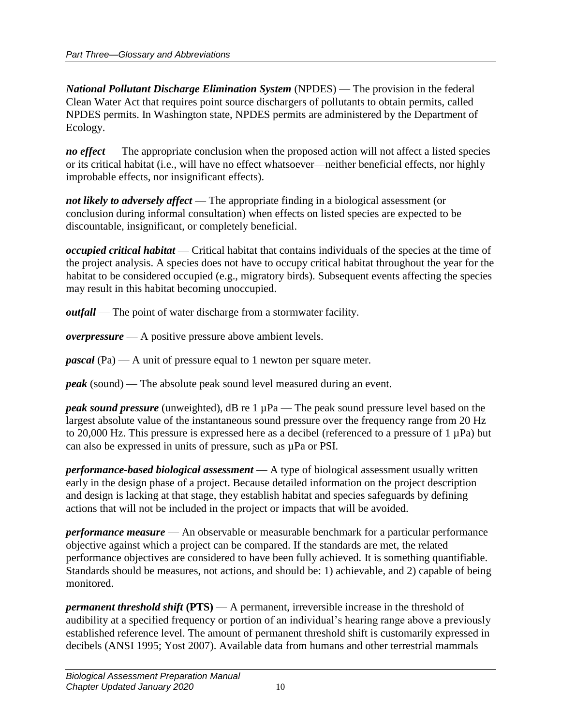*National Pollutant Discharge Elimination System* (NPDES) — The provision in the federal Clean Water Act that requires point source dischargers of pollutants to obtain permits, called NPDES permits. In Washington state, NPDES permits are administered by the Department of Ecology.

*no effect* — The appropriate conclusion when the proposed action will not affect a listed species or its critical habitat (i.e., will have no effect whatsoever—neither beneficial effects, nor highly improbable effects, nor insignificant effects).

*not likely to adversely affect* — The appropriate finding in a biological assessment (or conclusion during informal consultation) when effects on listed species are expected to be discountable, insignificant, or completely beneficial.

*occupied critical habitat* — Critical habitat that contains individuals of the species at the time of the project analysis. A species does not have to occupy critical habitat throughout the year for the habitat to be considered occupied (e.g., migratory birds). Subsequent events affecting the species may result in this habitat becoming unoccupied.

*outfall* — The point of water discharge from a stormwater facility.

*overpressure* — A positive pressure above ambient levels.

*pascal* (Pa) — A unit of pressure equal to 1 newton per square meter.

*peak* (sound) — The absolute peak sound level measured during an event.

*peak sound pressure* (unweighted), dB re 1 µPa — The peak sound pressure level based on the largest absolute value of the instantaneous sound pressure over the frequency range from 20 Hz to 20,000 Hz. This pressure is expressed here as a decibel (referenced to a pressure of 1 µPa) but can also be expressed in units of pressure, such as  $\mu Pa$  or PSI.

*performance-based biological assessment* — A type of biological assessment usually written early in the design phase of a project. Because detailed information on the project description and design is lacking at that stage, they establish habitat and species safeguards by defining actions that will not be included in the project or impacts that will be avoided.

*performance measure* — An observable or measurable benchmark for a particular performance objective against which a project can be compared. If the standards are met, the related performance objectives are considered to have been fully achieved. It is something quantifiable. Standards should be measures, not actions, and should be: 1) achievable, and 2) capable of being monitored.

*permanent threshold shift* **(PTS)** — A permanent, irreversible increase in the threshold of audibility at a specified frequency or portion of an individual's hearing range above a previously established reference level. The amount of permanent threshold shift is customarily expressed in decibels (ANSI 1995; Yost 2007). Available data from humans and other terrestrial mammals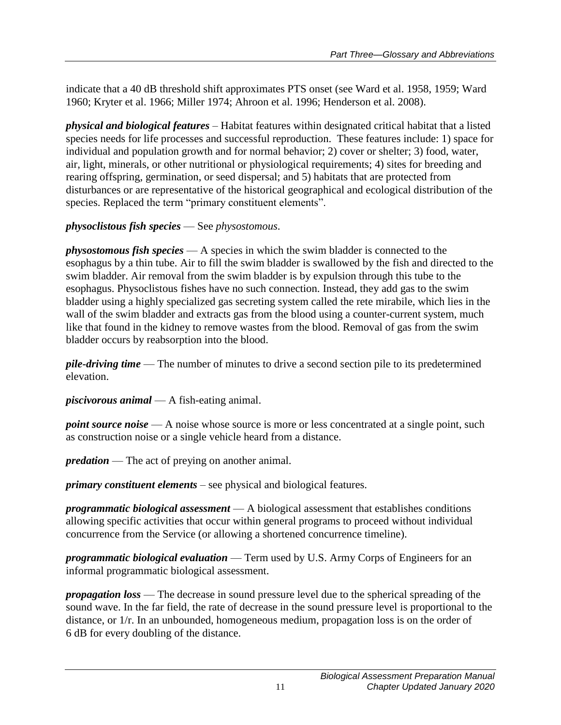indicate that a 40 dB threshold shift approximates PTS onset (see Ward et al. 1958, 1959; Ward 1960; Kryter et al. 1966; Miller 1974; Ahroon et al. 1996; Henderson et al. 2008).

*physical and biological features* – Habitat features within designated critical habitat that a listed species needs for life processes and successful reproduction. These features include: 1) space for individual and population growth and for normal behavior; 2) cover or shelter; 3) food, water, air, light, minerals, or other nutritional or physiological requirements; 4) sites for breeding and rearing offspring, germination, or seed dispersal; and 5) habitats that are protected from disturbances or are representative of the historical geographical and ecological distribution of the species. Replaced the term "primary constituent elements".

#### *physoclistous fish species* — See *physostomous*.

*physostomous fish species* — A species in which the swim bladder is connected to the esophagus by a thin tube. Air to fill the swim bladder is swallowed by the fish and directed to the swim bladder. Air removal from the swim bladder is by expulsion through this tube to the esophagus. Physoclistous fishes have no such connection. Instead, they add gas to the swim bladder using a highly specialized gas secreting system called the rete mirabile, which lies in the wall of the swim bladder and extracts gas from the blood using a counter-current system, much like that found in the kidney to remove wastes from the blood. Removal of gas from the swim bladder occurs by reabsorption into the blood.

*pile-driving time* — The number of minutes to drive a second section pile to its predetermined elevation.

*piscivorous animal* — A fish-eating animal.

*point source noise* — A noise whose source is more or less concentrated at a single point, such as construction noise or a single vehicle heard from a distance.

*predation* — The act of preying on another animal.

*primary constituent elements* – see physical and biological features.

*programmatic biological assessment* — A biological assessment that establishes conditions allowing specific activities that occur within general programs to proceed without individual concurrence from the Service (or allowing a shortened concurrence timeline).

*programmatic biological evaluation* — Term used by U.S. Army Corps of Engineers for an informal programmatic biological assessment.

*propagation loss* — The decrease in sound pressure level due to the spherical spreading of the sound wave. In the far field, the rate of decrease in the sound pressure level is proportional to the distance, or 1/r. In an unbounded, homogeneous medium, propagation loss is on the order of 6 dB for every doubling of the distance.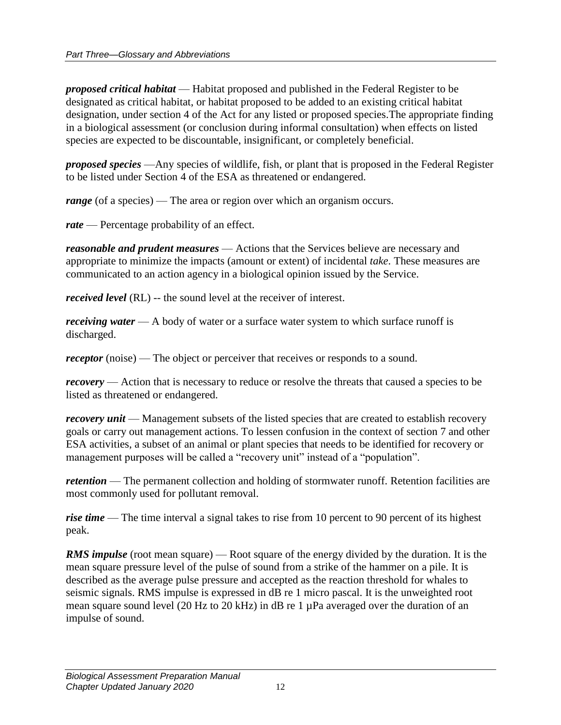*proposed critical habitat* — Habitat proposed and published in the Federal Register to be designated as critical habitat, or habitat proposed to be added to an existing critical habitat designation, under section 4 of the Act for any listed or proposed species.The appropriate finding in a biological assessment (or conclusion during informal consultation) when effects on listed species are expected to be discountable, insignificant, or completely beneficial.

*proposed species* —Any species of wildlife, fish, or plant that is proposed in the Federal Register to be listed under Section 4 of the ESA as threatened or endangered.

*range* (of a species) — The area or region over which an organism occurs.

*rate* — Percentage probability of an effect.

*reasonable and prudent measures* — Actions that the Services believe are necessary and appropriate to minimize the impacts (amount or extent) of incidental *take*. These measures are communicated to an action agency in a biological opinion issued by the Service.

*received level* (RL) -- the sound level at the receiver of interest.

*receiving water* — A body of water or a surface water system to which surface runoff is discharged.

*receptor* (noise) — The object or perceiver that receives or responds to a sound.

*recovery* — Action that is necessary to reduce or resolve the threats that caused a species to be listed as threatened or endangered.

*recovery unit* — Management subsets of the listed species that are created to establish recovery goals or carry out management actions. To lessen confusion in the context of section 7 and other ESA activities, a subset of an animal or plant species that needs to be identified for recovery or management purposes will be called a "recovery unit" instead of a "population".

*retention* — The permanent collection and holding of stormwater runoff. Retention facilities are most commonly used for pollutant removal.

*rise time* — The time interval a signal takes to rise from 10 percent to 90 percent of its highest peak.

*RMS impulse* (root mean square) — Root square of the energy divided by the duration. It is the mean square pressure level of the pulse of sound from a strike of the hammer on a pile. It is described as the average pulse pressure and accepted as the reaction threshold for whales to seismic signals. RMS impulse is expressed in dB re 1 micro pascal. It is the unweighted root mean square sound level (20 Hz to 20 kHz) in dB re 1 µPa averaged over the duration of an impulse of sound.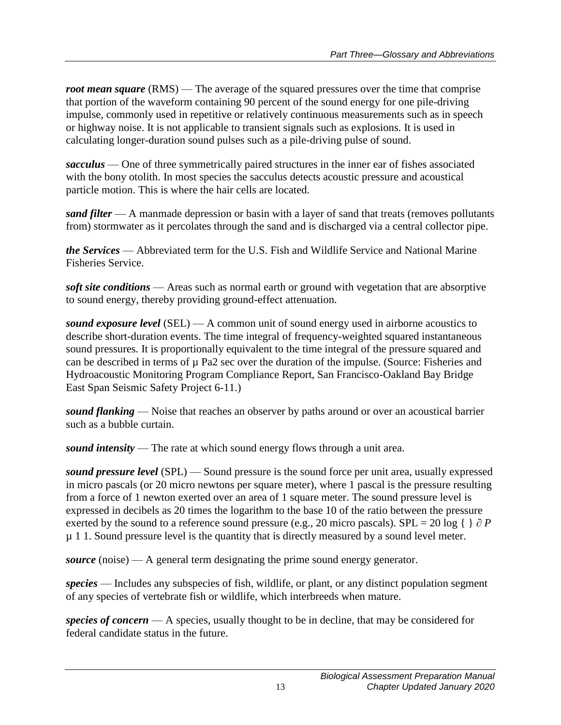*root mean square* (RMS) — The average of the squared pressures over the time that comprise that portion of the waveform containing 90 percent of the sound energy for one pile-driving impulse, commonly used in repetitive or relatively continuous measurements such as in speech or highway noise. It is not applicable to transient signals such as explosions. It is used in calculating longer-duration sound pulses such as a pile-driving pulse of sound.

*sacculus* — One of three symmetrically paired structures in the inner ear of fishes associated with the bony otolith. In most species the sacculus detects acoustic pressure and acoustical particle motion. This is where the hair cells are located.

*sand filter* — A manmade depression or basin with a layer of sand that treats (removes pollutants from) stormwater as it percolates through the sand and is discharged via a central collector pipe.

*the Services* — Abbreviated term for the U.S. Fish and Wildlife Service and National Marine Fisheries Service.

*soft site conditions* — Areas such as normal earth or ground with vegetation that are absorptive to sound energy, thereby providing ground-effect attenuation.

*sound exposure level* (SEL) — A common unit of sound energy used in airborne acoustics to describe short-duration events. The time integral of frequency-weighted squared instantaneous sound pressures. It is proportionally equivalent to the time integral of the pressure squared and can be described in terms of  $\mu$  Pa2 sec over the duration of the impulse. (Source: Fisheries and Hydroacoustic Monitoring Program Compliance Report, San Francisco-Oakland Bay Bridge East Span Seismic Safety Project 6-11.)

*sound flanking* — Noise that reaches an observer by paths around or over an acoustical barrier such as a bubble curtain.

*sound intensity* — The rate at which sound energy flows through a unit area.

*sound pressure level* (SPL) — Sound pressure is the sound force per unit area, usually expressed in micro pascals (or 20 micro newtons per square meter), where 1 pascal is the pressure resulting from a force of 1 newton exerted over an area of 1 square meter. The sound pressure level is expressed in decibels as 20 times the logarithm to the base 10 of the ratio between the pressure exerted by the sound to a reference sound pressure (e.g., 20 micro pascals). SPL = 20 log  $\{\}$   $\partial P$ µ 1 1. Sound pressure level is the quantity that is directly measured by a sound level meter.

*source* (noise) — A general term designating the prime sound energy generator.

*species* — Includes any subspecies of fish, wildlife, or plant, or any distinct population segment of any species of vertebrate fish or wildlife, which interbreeds when mature.

*species of concern* — A species, usually thought to be in decline, that may be considered for federal candidate status in the future.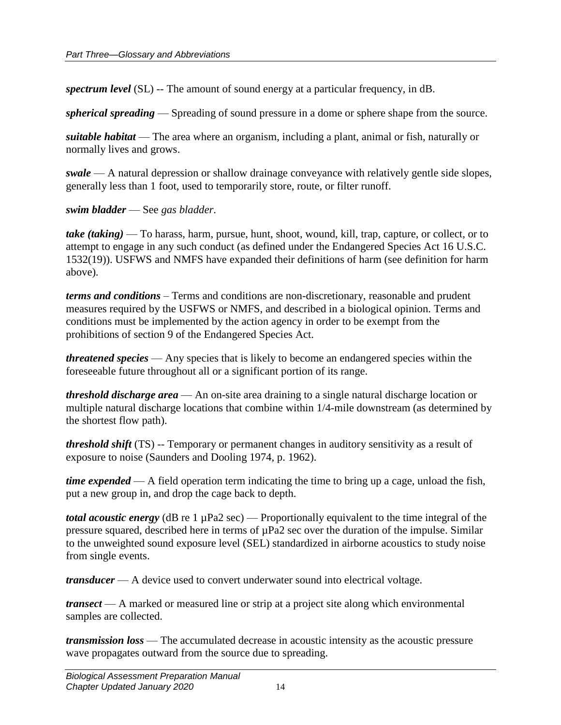*spectrum level* (SL) -- The amount of sound energy at a particular frequency, in dB.

*spherical spreading* — Spreading of sound pressure in a dome or sphere shape from the source.

*suitable habitat* — The area where an organism, including a plant, animal or fish, naturally or normally lives and grows.

*swale* — A natural depression or shallow drainage conveyance with relatively gentle side slopes, generally less than 1 foot, used to temporarily store, route, or filter runoff.

*swim bladder* — See *gas bladder*.

*take (taking)* — To harass, harm, pursue, hunt, shoot, wound, kill, trap, capture, or collect, or to attempt to engage in any such conduct (as defined under the Endangered Species Act 16 U.S.C. 1532(19)). USFWS and NMFS have expanded their definitions of harm (see definition for harm above).

*terms and conditions* – Terms and conditions are non-discretionary, reasonable and prudent measures required by the USFWS or NMFS, and described in a biological opinion. Terms and conditions must be implemented by the action agency in order to be exempt from the prohibitions of section 9 of the Endangered Species Act.

*threatened species* — Any species that is likely to become an endangered species within the foreseeable future throughout all or a significant portion of its range.

*threshold discharge area* — An on-site area draining to a single natural discharge location or multiple natural discharge locations that combine within 1/4-mile downstream (as determined by the shortest flow path).

*threshold shift* (TS) -- Temporary or permanent changes in auditory sensitivity as a result of exposure to noise (Saunders and Dooling 1974, p. 1962).

*time expended* — A field operation term indicating the time to bring up a cage, unload the fish, put a new group in, and drop the cage back to depth.

*total acoustic energy* (dB re 1 µPa2 sec) — Proportionally equivalent to the time integral of the pressure squared, described here in terms of  $\mu$ Pa2 sec over the duration of the impulse. Similar to the unweighted sound exposure level (SEL) standardized in airborne acoustics to study noise from single events.

*transducer* — A device used to convert underwater sound into electrical voltage.

*transect* — A marked or measured line or strip at a project site along which environmental samples are collected.

*transmission loss* — The accumulated decrease in acoustic intensity as the acoustic pressure wave propagates outward from the source due to spreading.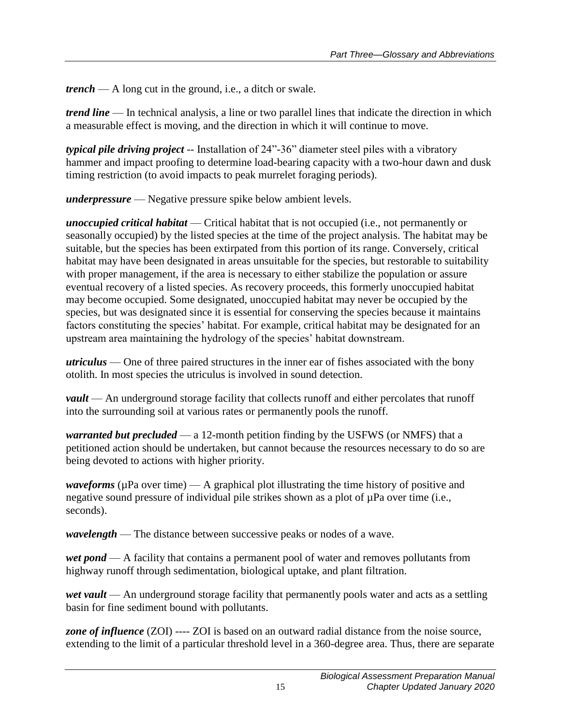*trench* — A long cut in the ground, i.e., a ditch or swale.

*trend line* — In technical analysis, a line or two parallel lines that indicate the direction in which a measurable effect is moving, and the direction in which it will continue to move.

*typical pile driving project* -- Installation of 24"-36" diameter steel piles with a vibratory hammer and impact proofing to determine load-bearing capacity with a two-hour dawn and dusk timing restriction (to avoid impacts to peak murrelet foraging periods).

*underpressure* — Negative pressure spike below ambient levels.

*unoccupied critical habitat* — Critical habitat that is not occupied (i.e., not permanently or seasonally occupied) by the listed species at the time of the project analysis. The habitat may be suitable, but the species has been extirpated from this portion of its range. Conversely, critical habitat may have been designated in areas unsuitable for the species, but restorable to suitability with proper management, if the area is necessary to either stabilize the population or assure eventual recovery of a listed species. As recovery proceeds, this formerly unoccupied habitat may become occupied. Some designated, unoccupied habitat may never be occupied by the species, but was designated since it is essential for conserving the species because it maintains factors constituting the species' habitat. For example, critical habitat may be designated for an upstream area maintaining the hydrology of the species' habitat downstream.

*utriculus* — One of three paired structures in the inner ear of fishes associated with the bony otolith. In most species the utriculus is involved in sound detection.

*vault* — An underground storage facility that collects runoff and either percolates that runoff into the surrounding soil at various rates or permanently pools the runoff.

*warranted but precluded* — a 12-month petition finding by the USFWS (or NMFS) that a petitioned action should be undertaken, but cannot because the resources necessary to do so are being devoted to actions with higher priority.

*waveforms* ( $\mu$ Pa over time) — A graphical plot illustrating the time history of positive and negative sound pressure of individual pile strikes shown as a plot of  $\mu$ Pa over time (i.e., seconds).

*wavelength* — The distance between successive peaks or nodes of a wave.

*wet pond* — A facility that contains a permanent pool of water and removes pollutants from highway runoff through sedimentation, biological uptake, and plant filtration.

*wet vault* — An underground storage facility that permanently pools water and acts as a settling basin for fine sediment bound with pollutants.

*zone of influence* (ZOI) ---- ZOI is based on an outward radial distance from the noise source, extending to the limit of a particular threshold level in a 360-degree area. Thus, there are separate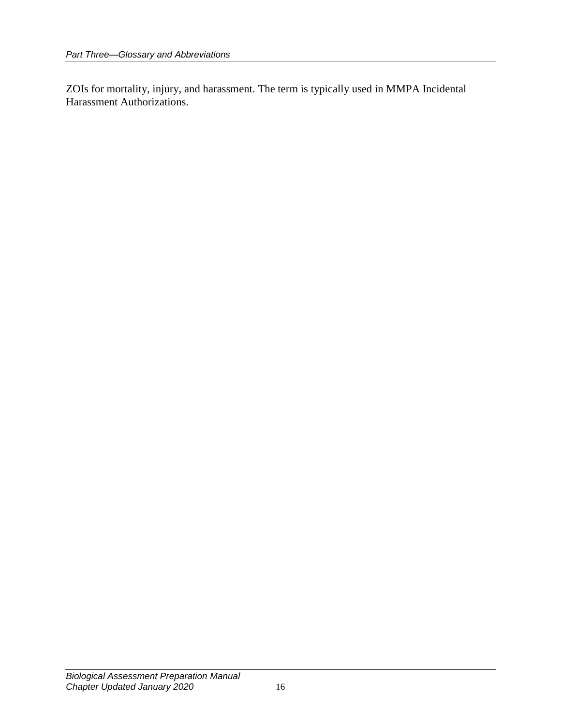ZOIs for mortality, injury, and harassment. The term is typically used in MMPA Incidental Harassment Authorizations.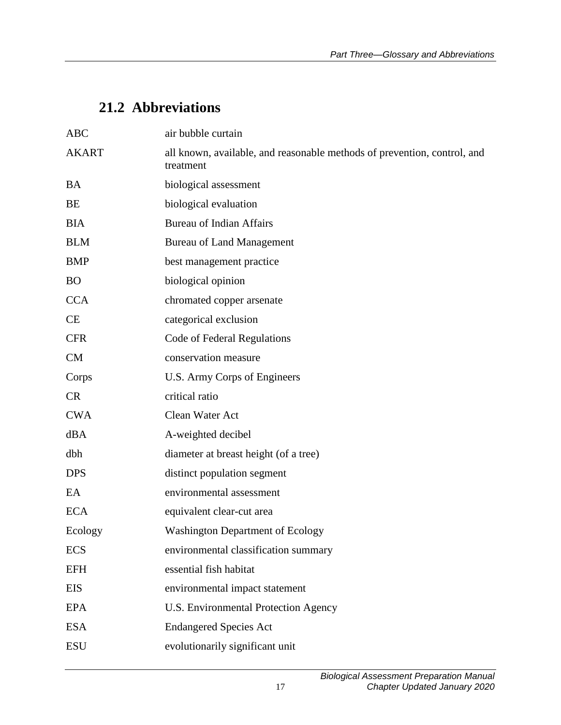## **21.2 Abbreviations**

| <b>ABC</b>   | air bubble curtain                                                                    |
|--------------|---------------------------------------------------------------------------------------|
| <b>AKART</b> | all known, available, and reasonable methods of prevention, control, and<br>treatment |
| <b>BA</b>    | biological assessment                                                                 |
| BE           | biological evaluation                                                                 |
| <b>BIA</b>   | <b>Bureau of Indian Affairs</b>                                                       |
| <b>BLM</b>   | <b>Bureau of Land Management</b>                                                      |
| <b>BMP</b>   | best management practice                                                              |
| <b>BO</b>    | biological opinion                                                                    |
| <b>CCA</b>   | chromated copper arsenate                                                             |
| <b>CE</b>    | categorical exclusion                                                                 |
| <b>CFR</b>   | Code of Federal Regulations                                                           |
| CM           | conservation measure                                                                  |
| Corps        | U.S. Army Corps of Engineers                                                          |
| <b>CR</b>    | critical ratio                                                                        |
| <b>CWA</b>   | Clean Water Act                                                                       |
| dBA          | A-weighted decibel                                                                    |
| dbh          | diameter at breast height (of a tree)                                                 |
| <b>DPS</b>   | distinct population segment                                                           |
| EA           | environmental assessment                                                              |
| <b>ECA</b>   | equivalent clear-cut area                                                             |
| Ecology      | <b>Washington Department of Ecology</b>                                               |
| <b>ECS</b>   | environmental classification summary                                                  |
| <b>EFH</b>   | essential fish habitat                                                                |
| EIS          | environmental impact statement                                                        |
| <b>EPA</b>   | <b>U.S. Environmental Protection Agency</b>                                           |
| <b>ESA</b>   | <b>Endangered Species Act</b>                                                         |
| <b>ESU</b>   | evolutionarily significant unit                                                       |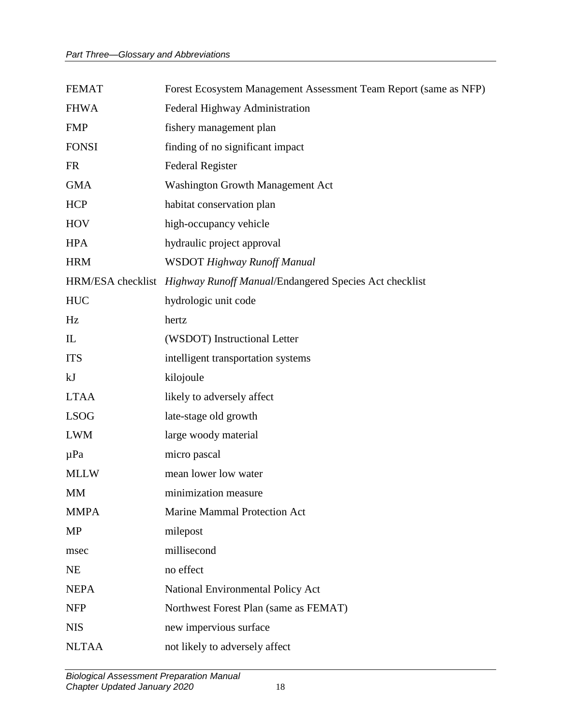| <b>FEMAT</b> | Forest Ecosystem Management Assessment Team Report (same as NFP)         |
|--------------|--------------------------------------------------------------------------|
| <b>FHWA</b>  | Federal Highway Administration                                           |
| <b>FMP</b>   | fishery management plan                                                  |
| <b>FONSI</b> | finding of no significant impact                                         |
| <b>FR</b>    | <b>Federal Register</b>                                                  |
| <b>GMA</b>   | Washington Growth Management Act                                         |
| <b>HCP</b>   | habitat conservation plan                                                |
| <b>HOV</b>   | high-occupancy vehicle                                                   |
| <b>HPA</b>   | hydraulic project approval                                               |
| <b>HRM</b>   | <b>WSDOT Highway Runoff Manual</b>                                       |
|              | HRM/ESA checklist Highway Runoff Manual/Endangered Species Act checklist |
| <b>HUC</b>   | hydrologic unit code                                                     |
| Hz           | hertz                                                                    |
| $\mathbf{L}$ | (WSDOT) Instructional Letter                                             |
| <b>ITS</b>   | intelligent transportation systems                                       |
| kJ           | kilojoule                                                                |
| <b>LTAA</b>  | likely to adversely affect                                               |
| <b>LSOG</b>  | late-stage old growth                                                    |
| <b>LWM</b>   | large woody material                                                     |
| $\mu$ Pa     | micro pascal                                                             |
| <b>MLLW</b>  | mean lower low water                                                     |
| <b>MM</b>    | minimization measure                                                     |
| <b>MMPA</b>  | Marine Mammal Protection Act                                             |
| MP           | milepost                                                                 |
| msec         | millisecond                                                              |
| <b>NE</b>    | no effect                                                                |
| <b>NEPA</b>  | National Environmental Policy Act                                        |
| <b>NFP</b>   | Northwest Forest Plan (same as FEMAT)                                    |
| <b>NIS</b>   | new impervious surface                                                   |
| <b>NLTAA</b> | not likely to adversely affect                                           |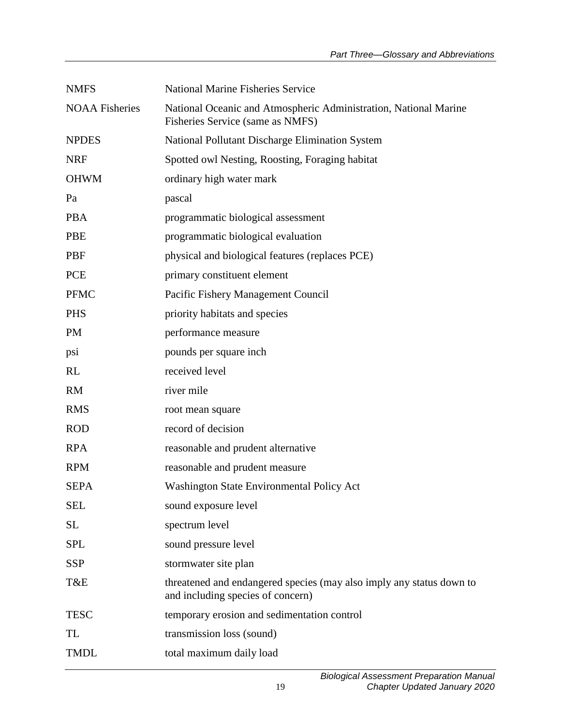| <b>NMFS</b>           | <b>National Marine Fisheries Service</b>                                                                  |
|-----------------------|-----------------------------------------------------------------------------------------------------------|
| <b>NOAA Fisheries</b> | National Oceanic and Atmospheric Administration, National Marine<br>Fisheries Service (same as NMFS)      |
| <b>NPDES</b>          | National Pollutant Discharge Elimination System                                                           |
| <b>NRF</b>            | Spotted owl Nesting, Roosting, Foraging habitat                                                           |
| <b>OHWM</b>           | ordinary high water mark                                                                                  |
| Pa                    | pascal                                                                                                    |
| <b>PBA</b>            | programmatic biological assessment                                                                        |
| <b>PBE</b>            | programmatic biological evaluation                                                                        |
| <b>PBF</b>            | physical and biological features (replaces PCE)                                                           |
| <b>PCE</b>            | primary constituent element                                                                               |
| <b>PFMC</b>           | Pacific Fishery Management Council                                                                        |
| <b>PHS</b>            | priority habitats and species                                                                             |
| <b>PM</b>             | performance measure                                                                                       |
| psi                   | pounds per square inch                                                                                    |
| <b>RL</b>             | received level                                                                                            |
| <b>RM</b>             | river mile                                                                                                |
| <b>RMS</b>            | root mean square                                                                                          |
| <b>ROD</b>            | record of decision                                                                                        |
| <b>RPA</b>            | reasonable and prudent alternative                                                                        |
| <b>RPM</b>            | reasonable and prudent measure                                                                            |
| <b>SEPA</b>           | <b>Washington State Environmental Policy Act</b>                                                          |
| <b>SEL</b>            | sound exposure level                                                                                      |
| <b>SL</b>             | spectrum level                                                                                            |
| <b>SPL</b>            | sound pressure level                                                                                      |
| <b>SSP</b>            | stormwater site plan                                                                                      |
| T&E                   | threatened and endangered species (may also imply any status down to<br>and including species of concern) |
| <b>TESC</b>           | temporary erosion and sedimentation control                                                               |
| TL                    | transmission loss (sound)                                                                                 |
| <b>TMDL</b>           | total maximum daily load                                                                                  |